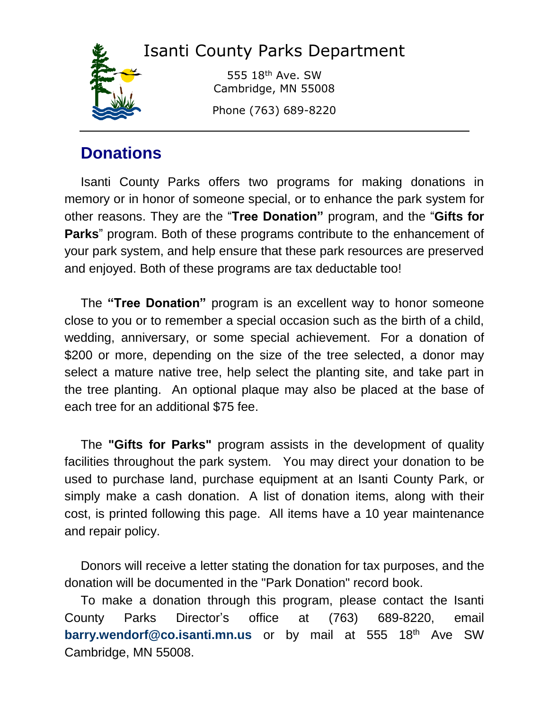# Isanti County Parks Department



555 18th Ave. SW Cambridge, MN 55008

Phone (763) 689-8220

# **Donations**

Isanti County Parks offers two programs for making donations in memory or in honor of someone special, or to enhance the park system for other reasons. They are the "**Tree Donation"** program, and the "**[Gifts for](http://www.co.washington.mn.us/info_for_residents/parks_division/donations_and_volunteers/#gifts#gifts)  [Parks](http://www.co.washington.mn.us/info_for_residents/parks_division/donations_and_volunteers/#gifts#gifts)**" program. Both of these programs contribute to the enhancement of your park system, and help ensure that these park resources are preserved and enjoyed. Both of these programs are tax deductable too!

The **"Tree Donation"** program is an excellent way to honor someone close to you or to remember a special occasion such as the birth of a child, wedding, anniversary, or some special achievement. For a donation of \$200 or more, depending on the size of the tree selected, a donor may select a mature native tree, help select the planting site, and take part in the tree planting. An optional plaque may also be placed at the base of each tree for an additional \$75 fee.

The **"Gifts for Parks"** program assists in the development of quality facilities throughout the park system. You may direct your donation to be used to purchase land, purchase equipment at an Isanti County Park, or simply make a cash donation. A list of donation items, along with their cost, is printed following this page. All items have a 10 year maintenance and repair policy.

Donors will receive a letter stating the donation for tax purposes, and the donation will be documented in the "Park Donation" record book.

To make a donation through this program, please contact the Isanti County Parks Director's office at (763) 689-8220, email **[barry.wendorf@co.isanti.mn.us](mailto:barry.wendorf@co.isanti.mn.us)** or by mail at 555 18<sup>th</sup> Ave SW Cambridge, MN 55008.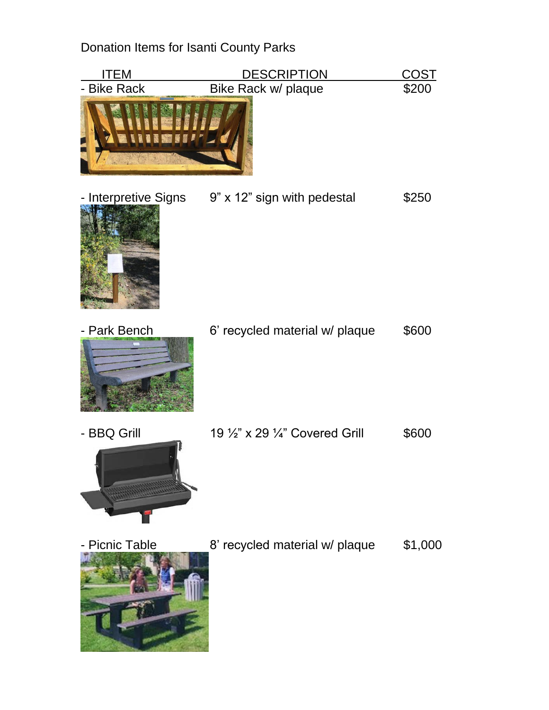Donation Items for Isanti County Parks

| ITEM                 | <b>DESCRIPTION</b>              | <u>COST</u> |
|----------------------|---------------------------------|-------------|
| - Bike Rack          | Bike Rack w/ plaque             | \$200       |
| - Interpretive Signs | 9" x 12" sign with pedestal     | \$250       |
| - Park Bench         | 6' recycled material w/ plaque  | \$600       |
| - BBQ Grill          | 19 1/2" x 29 1/4" Covered Grill | \$600       |
| - Picnic Table       | 8' recycled material w/ plaque  | \$1,000     |